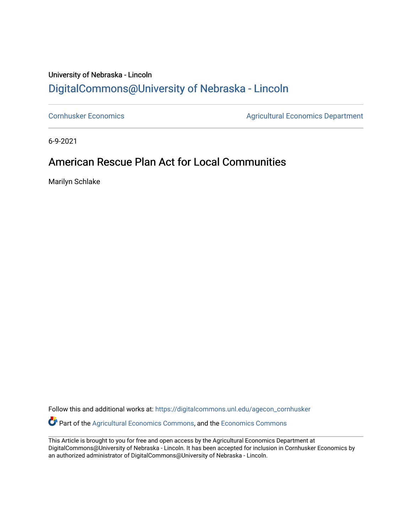## University of Nebraska - Lincoln [DigitalCommons@University of Nebraska - Lincoln](https://digitalcommons.unl.edu/)

[Cornhusker Economics](https://digitalcommons.unl.edu/agecon_cornhusker) **Agricultural Economics** Department

6-9-2021

## American Rescue Plan Act for Local Communities

Marilyn Schlake

Follow this and additional works at: [https://digitalcommons.unl.edu/agecon\\_cornhusker](https://digitalcommons.unl.edu/agecon_cornhusker?utm_source=digitalcommons.unl.edu%2Fagecon_cornhusker%2F1107&utm_medium=PDF&utm_campaign=PDFCoverPages)  Part of the [Agricultural Economics Commons,](http://network.bepress.com/hgg/discipline/1225?utm_source=digitalcommons.unl.edu%2Fagecon_cornhusker%2F1107&utm_medium=PDF&utm_campaign=PDFCoverPages) and the [Economics Commons](http://network.bepress.com/hgg/discipline/340?utm_source=digitalcommons.unl.edu%2Fagecon_cornhusker%2F1107&utm_medium=PDF&utm_campaign=PDFCoverPages) 

This Article is brought to you for free and open access by the Agricultural Economics Department at DigitalCommons@University of Nebraska - Lincoln. It has been accepted for inclusion in Cornhusker Economics by an authorized administrator of DigitalCommons@University of Nebraska - Lincoln.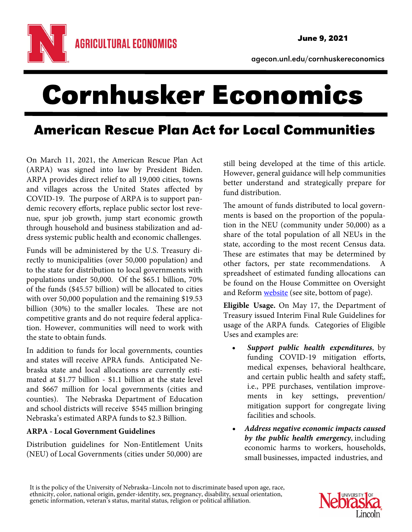agecon.unl.edu/cornhuskereconomics

# Cornhusker Economics

# American Rescue Plan Act for Local Communities

On March 11, 2021, the American Rescue Plan Act (ARPA) was signed into law by President Biden. ARPA provides direct relief to all 19,000 cities, towns and villages across the United States affected by COVID-19. The purpose of ARPA is to support pandemic recovery efforts, replace public sector lost revenue, spur job growth, jump start economic growth through household and business stabilization and address systemic public health and economic challenges.

Funds will be administered by the U.S. Treasury directly to municipalities (over 50,000 population) and to the state for distribution to local governments with populations under 50,000. Of the \$65.1 billion, 70% of the funds (\$45.57 billion) will be allocated to cities with over 50,000 population and the remaining \$19.53 billion (30%) to the smaller locales. These are not competitive grants and do not require federal application. However, communities will need to work with the state to obtain funds.

In addition to funds for local governments, counties and states will receive APRA funds. Anticipated Nebraska state and local allocations are currently estimated at \$1.77 billion - \$1.1 billion at the state level and \$667 million for local governments (cities and counties). The Nebraska Department of Education and school districts will receive \$545 million bringing Nebraska's estimated ARPA funds to \$2.3 Billion.

### **ARPA - Local Government Guidelines**

Distribution guidelines for Non-Entitlement Units (NEU) of Local Governments (cities under 50,000) are

still being developed at the time of this article. However, general guidance will help communities better understand and strategically prepare for fund distribution.

The amount of funds distributed to local governments is based on the proportion of the population in the NEU (community under 50,000) as a share of the total population of all NEUs in the state, according to the most recent Census data. These are estimates that may be determined by other factors, per state recommendations. spreadsheet of estimated funding allocations can be found on the House Committee on Oversight and Reform website (see site, bottom of page).

**Eligible Usage.** On May 17, the Department of Treasury issued Interim Final Rule Guidelines for usage of the ARPA funds. Categories of Eligible Uses and examples are:

- **Support public health expenditures**, by funding COVID-19 mitigation efforts, medical expenses, behavioral healthcare, and certain public health and safety staff;, i.e., PPE purchases, ventilation improvements in key settings, prevention/ mitigation support for congregate living facilities and schools.
- **Address negative economic impacts caused by the public health emergency**, including economic harms to workers, households, small businesses, impacted industries, and